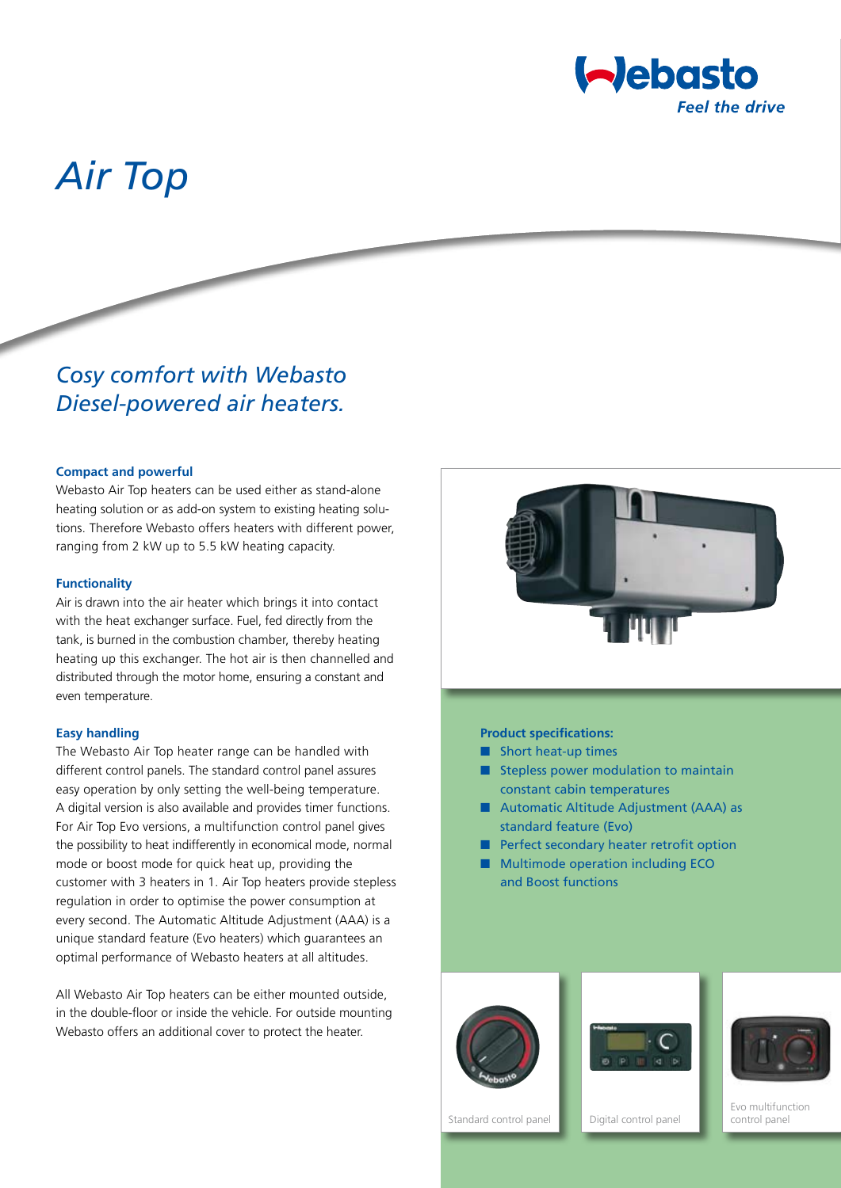

# *Air Top*

# *Cosy comfort with Webasto Diesel-powered air heaters.*

#### **Compact and powerful**

Webasto Air Top heaters can be used either as stand-alone heating solution or as add-on system to existing heating solutions. Therefore Webasto offers heaters with different power, ranging from 2 kW up to 5.5 kW heating capacity.

#### **Functionality**

Air is drawn into the air heater which brings it into contact with the heat exchanger surface. Fuel, fed directly from the tank, is burned in the combustion chamber, thereby heating heating up this exchanger. The hot air is then channelled and distributed through the motor home, ensuring a constant and even temperature.

#### **Easy handling**

The Webasto Air Top heater range can be handled with different control panels. The standard control panel assures easy operation by only setting the well-being temperature. A digital version is also available and provides timer functions. For Air Top Evo versions, a multifunction control panel gives the possibility to heat indifferently in economical mode, normal mode or boost mode for quick heat up, providing the customer with 3 heaters in 1. Air Top heaters provide stepless regulation in order to optimise the power consumption at every second. The Automatic Altitude Adjustment (AAA) is a unique standard feature (Evo heaters) which guarantees an optimal performance of Webasto heaters at all altitudes.

All Webasto Air Top heaters can be either mounted outside, in the double-floor or inside the vehicle. For outside mounting Webasto offers an additional cover to protect the heater.



#### **Product specifications:**

- Short heat-up times
- Stepless power modulation to maintain constant cabin temperatures
- Automatic Altitude Adjustment (AAA) as standard feature (Evo)
- Perfect secondary heater retrofit option
- Multimode operation including ECO and Boost functions





Standard control panel **Digital control panel** 

Evo multifunction control panel